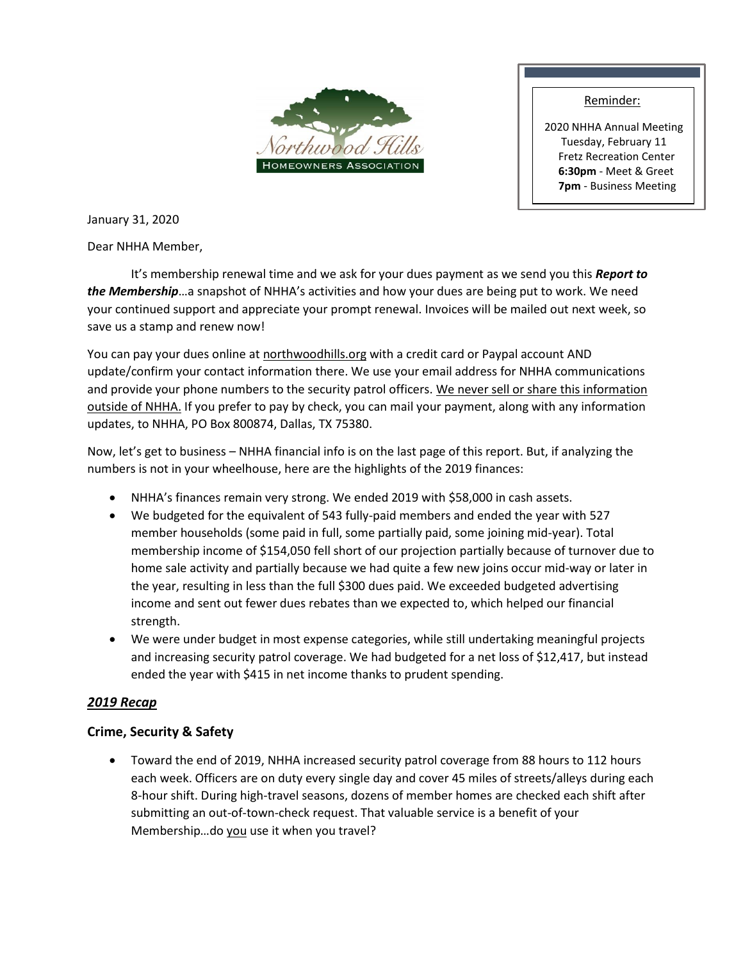

#### Reminder:

2020 NHHA Annual Meeting Tuesday, February 11 Fretz Recreation Center **6:30pm** - Meet & Greet **7pm** - Business Meeting

January 31, 2020

Dear NHHA Member,

It's membership renewal time and we ask for your dues payment as we send you this *Report to the Membership*…a snapshot of NHHA's activities and how your dues are being put to work. We need your continued support and appreciate your prompt renewal. Invoices will be mailed out next week, so save us a stamp and renew now!

You can pay your dues online at northwoodhills.org with a credit card or Paypal account AND update/confirm your contact information there. We use your email address for NHHA communications and provide your phone numbers to the security patrol officers. We never sell or share this information outside of NHHA. If you prefer to pay by check, you can mail your payment, along with any information updates, to NHHA, PO Box 800874, Dallas, TX 75380.

Now, let's get to business – NHHA financial info is on the last page of this report. But, if analyzing the numbers is not in your wheelhouse, here are the highlights of the 2019 finances:

- NHHA's finances remain very strong. We ended 2019 with \$58,000 in cash assets.
- We budgeted for the equivalent of 543 fully-paid members and ended the year with 527 member households (some paid in full, some partially paid, some joining mid-year). Total membership income of \$154,050 fell short of our projection partially because of turnover due to home sale activity and partially because we had quite a few new joins occur mid-way or later in the year, resulting in less than the full \$300 dues paid. We exceeded budgeted advertising income and sent out fewer dues rebates than we expected to, which helped our financial strength.
- We were under budget in most expense categories, while still undertaking meaningful projects and increasing security patrol coverage. We had budgeted for a net loss of \$12,417, but instead ended the year with \$415 in net income thanks to prudent spending.

## *2019 Recap*

#### **Crime, Security & Safety**

 Toward the end of 2019, NHHA increased security patrol coverage from 88 hours to 112 hours each week. Officers are on duty every single day and cover 45 miles of streets/alleys during each 8-hour shift. During high-travel seasons, dozens of member homes are checked each shift after submitting an out-of-town-check request. That valuable service is a benefit of your Membership...do you use it when you travel?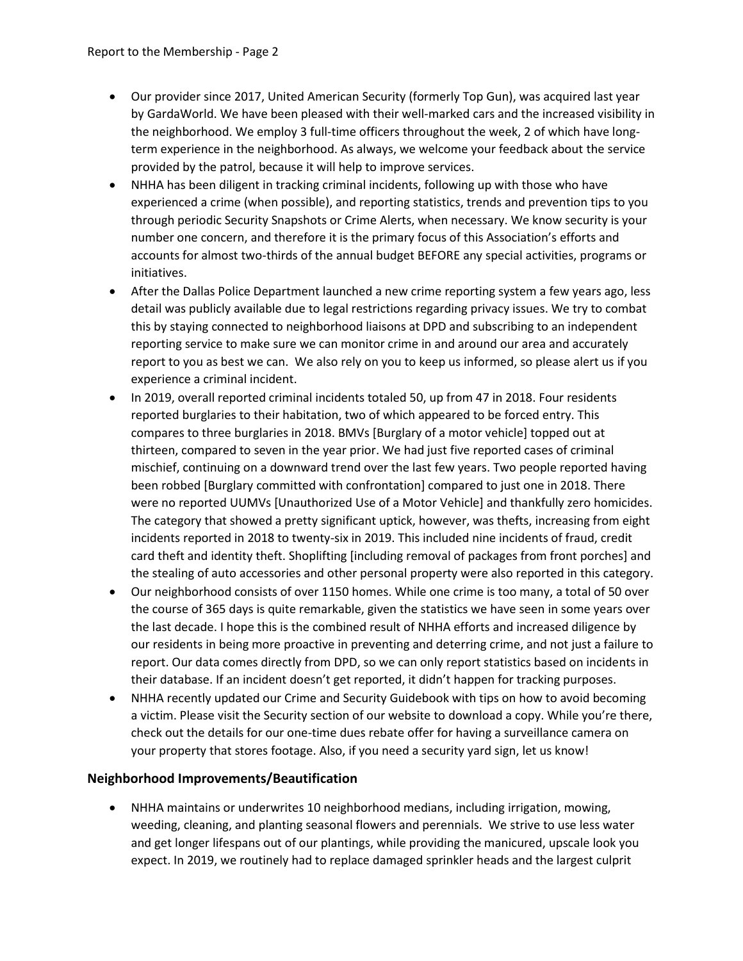- Our provider since 2017, United American Security (formerly Top Gun), was acquired last year by GardaWorld. We have been pleased with their well-marked cars and the increased visibility in the neighborhood. We employ 3 full-time officers throughout the week, 2 of which have longterm experience in the neighborhood. As always, we welcome your feedback about the service provided by the patrol, because it will help to improve services.
- NHHA has been diligent in tracking criminal incidents, following up with those who have experienced a crime (when possible), and reporting statistics, trends and prevention tips to you through periodic Security Snapshots or Crime Alerts, when necessary. We know security is your number one concern, and therefore it is the primary focus of this Association's efforts and accounts for almost two-thirds of the annual budget BEFORE any special activities, programs or initiatives.
- After the Dallas Police Department launched a new crime reporting system a few years ago, less detail was publicly available due to legal restrictions regarding privacy issues. We try to combat this by staying connected to neighborhood liaisons at DPD and subscribing to an independent reporting service to make sure we can monitor crime in and around our area and accurately report to you as best we can. We also rely on you to keep us informed, so please alert us if you experience a criminal incident.
- In 2019, overall reported criminal incidents totaled 50, up from 47 in 2018. Four residents reported burglaries to their habitation, two of which appeared to be forced entry. This compares to three burglaries in 2018. BMVs [Burglary of a motor vehicle] topped out at thirteen, compared to seven in the year prior. We had just five reported cases of criminal mischief, continuing on a downward trend over the last few years. Two people reported having been robbed [Burglary committed with confrontation] compared to just one in 2018. There were no reported UUMVs [Unauthorized Use of a Motor Vehicle] and thankfully zero homicides. The category that showed a pretty significant uptick, however, was thefts, increasing from eight incidents reported in 2018 to twenty-six in 2019. This included nine incidents of fraud, credit card theft and identity theft. Shoplifting [including removal of packages from front porches] and the stealing of auto accessories and other personal property were also reported in this category.
- Our neighborhood consists of over 1150 homes. While one crime is too many, a total of 50 over the course of 365 days is quite remarkable, given the statistics we have seen in some years over the last decade. I hope this is the combined result of NHHA efforts and increased diligence by our residents in being more proactive in preventing and deterring crime, and not just a failure to report. Our data comes directly from DPD, so we can only report statistics based on incidents in their database. If an incident doesn't get reported, it didn't happen for tracking purposes.
- NHHA recently updated our Crime and Security Guidebook with tips on how to avoid becoming a victim. Please visit the Security section of our website to download a copy. While you're there, check out the details for our one-time dues rebate offer for having a surveillance camera on your property that stores footage. Also, if you need a security yard sign, let us know!

#### **Neighborhood Improvements/Beautification**

 NHHA maintains or underwrites 10 neighborhood medians, including irrigation, mowing, weeding, cleaning, and planting seasonal flowers and perennials. We strive to use less water and get longer lifespans out of our plantings, while providing the manicured, upscale look you expect. In 2019, we routinely had to replace damaged sprinkler heads and the largest culprit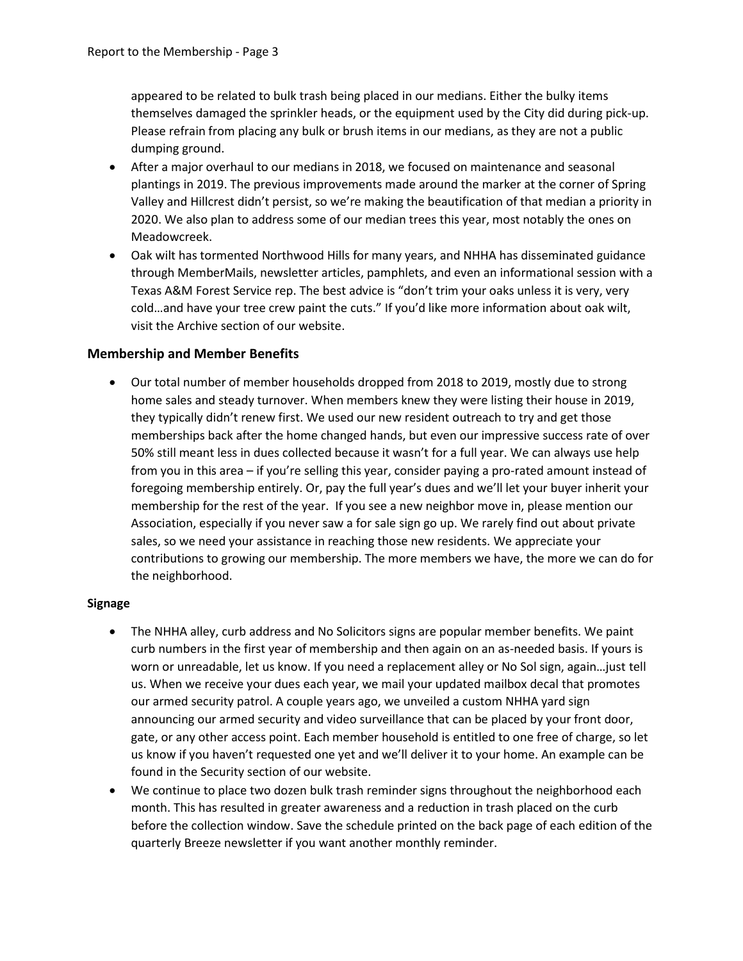appeared to be related to bulk trash being placed in our medians. Either the bulky items themselves damaged the sprinkler heads, or the equipment used by the City did during pick-up. Please refrain from placing any bulk or brush items in our medians, as they are not a public dumping ground.

- After a major overhaul to our medians in 2018, we focused on maintenance and seasonal plantings in 2019. The previous improvements made around the marker at the corner of Spring Valley and Hillcrest didn't persist, so we're making the beautification of that median a priority in 2020. We also plan to address some of our median trees this year, most notably the ones on Meadowcreek.
- Oak wilt has tormented Northwood Hills for many years, and NHHA has disseminated guidance through MemberMails, newsletter articles, pamphlets, and even an informational session with a Texas A&M Forest Service rep. The best advice is "don't trim your oaks unless it is very, very cold…and have your tree crew paint the cuts." If you'd like more information about oak wilt, visit the Archive section of our website.

#### **Membership and Member Benefits**

 Our total number of member households dropped from 2018 to 2019, mostly due to strong home sales and steady turnover. When members knew they were listing their house in 2019, they typically didn't renew first. We used our new resident outreach to try and get those memberships back after the home changed hands, but even our impressive success rate of over 50% still meant less in dues collected because it wasn't for a full year. We can always use help from you in this area – if you're selling this year, consider paying a pro-rated amount instead of foregoing membership entirely. Or, pay the full year's dues and we'll let your buyer inherit your membership for the rest of the year. If you see a new neighbor move in, please mention our Association, especially if you never saw a for sale sign go up. We rarely find out about private sales, so we need your assistance in reaching those new residents. We appreciate your contributions to growing our membership. The more members we have, the more we can do for the neighborhood.

#### **Signage**

- The NHHA alley, curb address and No Solicitors signs are popular member benefits. We paint curb numbers in the first year of membership and then again on an as-needed basis. If yours is worn or unreadable, let us know. If you need a replacement alley or No Sol sign, again…just tell us. When we receive your dues each year, we mail your updated mailbox decal that promotes our armed security patrol. A couple years ago, we unveiled a custom NHHA yard sign announcing our armed security and video surveillance that can be placed by your front door, gate, or any other access point. Each member household is entitled to one free of charge, so let us know if you haven't requested one yet and we'll deliver it to your home. An example can be found in the Security section of our website.
- We continue to place two dozen bulk trash reminder signs throughout the neighborhood each month. This has resulted in greater awareness and a reduction in trash placed on the curb before the collection window. Save the schedule printed on the back page of each edition of the quarterly Breeze newsletter if you want another monthly reminder.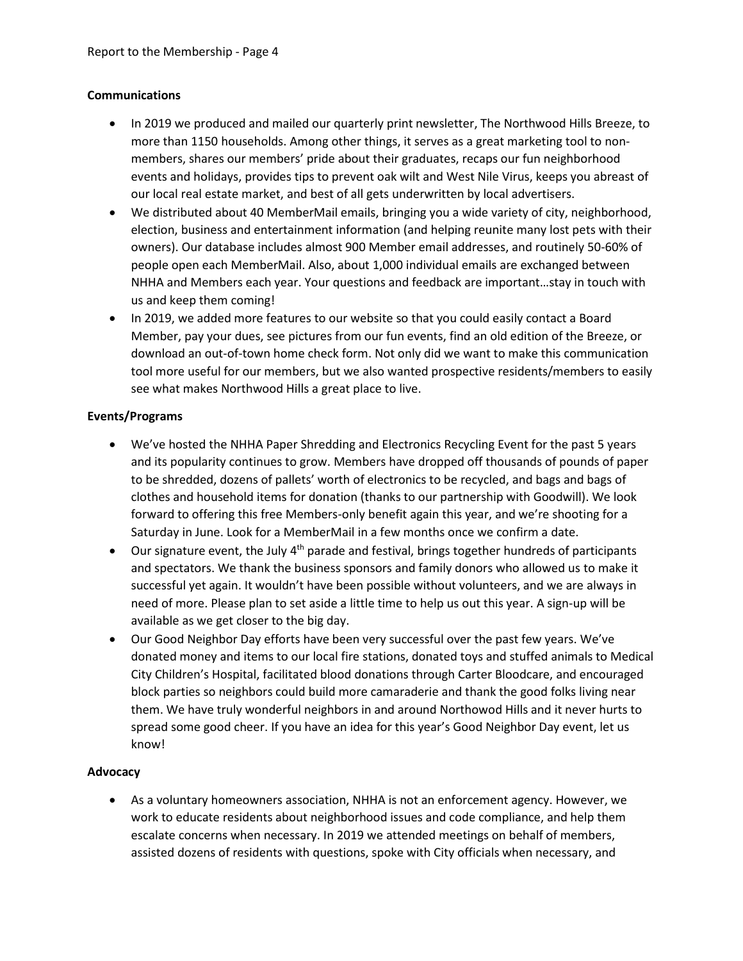#### **Communications**

- In 2019 we produced and mailed our quarterly print newsletter, The Northwood Hills Breeze, to more than 1150 households. Among other things, it serves as a great marketing tool to nonmembers, shares our members' pride about their graduates, recaps our fun neighborhood events and holidays, provides tips to prevent oak wilt and West Nile Virus, keeps you abreast of our local real estate market, and best of all gets underwritten by local advertisers.
- We distributed about 40 MemberMail emails, bringing you a wide variety of city, neighborhood, election, business and entertainment information (and helping reunite many lost pets with their owners). Our database includes almost 900 Member email addresses, and routinely 50-60% of people open each MemberMail. Also, about 1,000 individual emails are exchanged between NHHA and Members each year. Your questions and feedback are important…stay in touch with us and keep them coming!
- In 2019, we added more features to our website so that you could easily contact a Board Member, pay your dues, see pictures from our fun events, find an old edition of the Breeze, or download an out-of-town home check form. Not only did we want to make this communication tool more useful for our members, but we also wanted prospective residents/members to easily see what makes Northwood Hills a great place to live.

#### **Events/Programs**

- We've hosted the NHHA Paper Shredding and Electronics Recycling Event for the past 5 years and its popularity continues to grow. Members have dropped off thousands of pounds of paper to be shredded, dozens of pallets' worth of electronics to be recycled, and bags and bags of clothes and household items for donation (thanks to our partnership with Goodwill). We look forward to offering this free Members-only benefit again this year, and we're shooting for a Saturday in June. Look for a MemberMail in a few months once we confirm a date.
- Our signature event, the July 4<sup>th</sup> parade and festival, brings together hundreds of participants and spectators. We thank the business sponsors and family donors who allowed us to make it successful yet again. It wouldn't have been possible without volunteers, and we are always in need of more. Please plan to set aside a little time to help us out this year. A sign-up will be available as we get closer to the big day.
- Our Good Neighbor Day efforts have been very successful over the past few years. We've donated money and items to our local fire stations, donated toys and stuffed animals to Medical City Children's Hospital, facilitated blood donations through Carter Bloodcare, and encouraged block parties so neighbors could build more camaraderie and thank the good folks living near them. We have truly wonderful neighbors in and around Northowod Hills and it never hurts to spread some good cheer. If you have an idea for this year's Good Neighbor Day event, let us know!

#### **Advocacy**

 As a voluntary homeowners association, NHHA is not an enforcement agency. However, we work to educate residents about neighborhood issues and code compliance, and help them escalate concerns when necessary. In 2019 we attended meetings on behalf of members, assisted dozens of residents with questions, spoke with City officials when necessary, and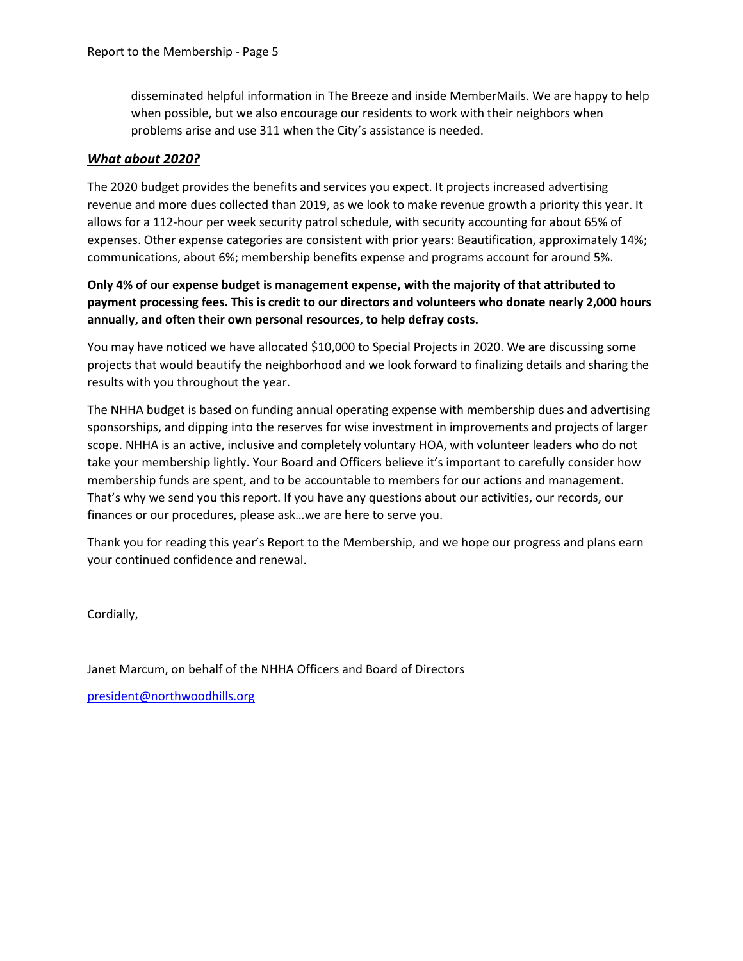disseminated helpful information in The Breeze and inside MemberMails. We are happy to help when possible, but we also encourage our residents to work with their neighbors when problems arise and use 311 when the City's assistance is needed.

#### *What about 2020?*

The 2020 budget provides the benefits and services you expect. It projects increased advertising revenue and more dues collected than 2019, as we look to make revenue growth a priority this year. It allows for a 112-hour per week security patrol schedule, with security accounting for about 65% of expenses. Other expense categories are consistent with prior years: Beautification, approximately 14%; communications, about 6%; membership benefits expense and programs account for around 5%.

**Only 4% of our expense budget is management expense, with the majority of that attributed to payment processing fees. This is credit to our directors and volunteers who donate nearly 2,000 hours annually, and often their own personal resources, to help defray costs.** 

You may have noticed we have allocated \$10,000 to Special Projects in 2020. We are discussing some projects that would beautify the neighborhood and we look forward to finalizing details and sharing the results with you throughout the year.

The NHHA budget is based on funding annual operating expense with membership dues and advertising sponsorships, and dipping into the reserves for wise investment in improvements and projects of larger scope. NHHA is an active, inclusive and completely voluntary HOA, with volunteer leaders who do not take your membership lightly. Your Board and Officers believe it's important to carefully consider how membership funds are spent, and to be accountable to members for our actions and management. That's why we send you this report. If you have any questions about our activities, our records, our finances or our procedures, please ask…we are here to serve you.

Thank you for reading this year's Report to the Membership, and we hope our progress and plans earn your continued confidence and renewal.

Cordially,

Janet Marcum, on behalf of the NHHA Officers and Board of Directors

president@northwoodhills.org